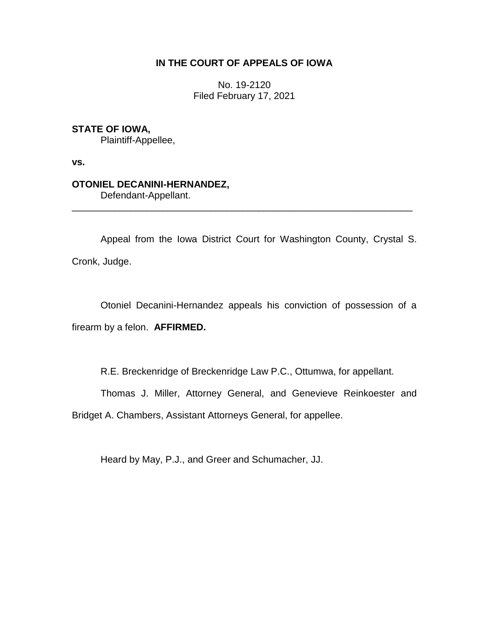# **IN THE COURT OF APPEALS OF IOWA**

No. 19-2120 Filed February 17, 2021

# **STATE OF IOWA,**

Plaintiff-Appellee,

**vs.**

# **OTONIEL DECANINI-HERNANDEZ,**

Defendant-Appellant.

Appeal from the Iowa District Court for Washington County, Crystal S. Cronk, Judge.

\_\_\_\_\_\_\_\_\_\_\_\_\_\_\_\_\_\_\_\_\_\_\_\_\_\_\_\_\_\_\_\_\_\_\_\_\_\_\_\_\_\_\_\_\_\_\_\_\_\_\_\_\_\_\_\_\_\_\_\_\_\_\_\_

Otoniel Decanini-Hernandez appeals his conviction of possession of a firearm by a felon. **AFFIRMED.**

R.E. Breckenridge of Breckenridge Law P.C., Ottumwa, for appellant.

Thomas J. Miller, Attorney General, and Genevieve Reinkoester and

Bridget A. Chambers, Assistant Attorneys General, for appellee.

Heard by May, P.J., and Greer and Schumacher, JJ.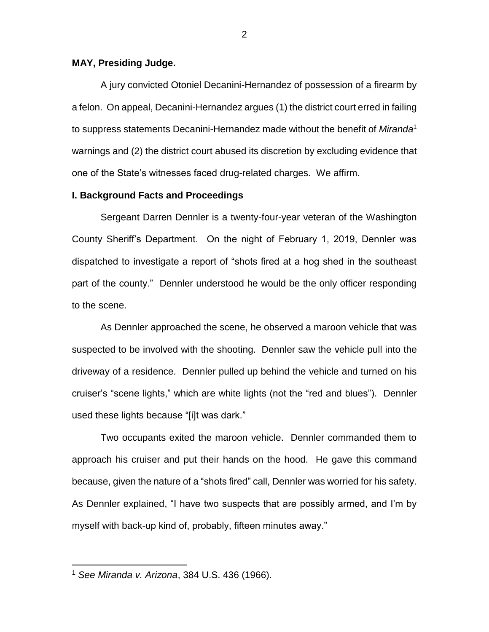## **MAY, Presiding Judge.**

A jury convicted Otoniel Decanini-Hernandez of possession of a firearm by a felon. On appeal, Decanini-Hernandez argues (1) the district court erred in failing to suppress statements Decanini-Hernandez made without the benefit of *Miranda*<sup>1</sup> warnings and (2) the district court abused its discretion by excluding evidence that one of the State's witnesses faced drug-related charges. We affirm.

## **I. Background Facts and Proceedings**

Sergeant Darren Dennler is a twenty-four-year veteran of the Washington County Sheriff's Department. On the night of February 1, 2019, Dennler was dispatched to investigate a report of "shots fired at a hog shed in the southeast part of the county." Dennler understood he would be the only officer responding to the scene.

As Dennler approached the scene, he observed a maroon vehicle that was suspected to be involved with the shooting. Dennler saw the vehicle pull into the driveway of a residence. Dennler pulled up behind the vehicle and turned on his cruiser's "scene lights," which are white lights (not the "red and blues"). Dennler used these lights because "[i]t was dark."

Two occupants exited the maroon vehicle. Dennler commanded them to approach his cruiser and put their hands on the hood. He gave this command because, given the nature of a "shots fired" call, Dennler was worried for his safety. As Dennler explained, "I have two suspects that are possibly armed, and I'm by myself with back-up kind of, probably, fifteen minutes away."

 $\overline{a}$ 

<sup>1</sup> *See Miranda v. Arizona*, 384 U.S. 436 (1966).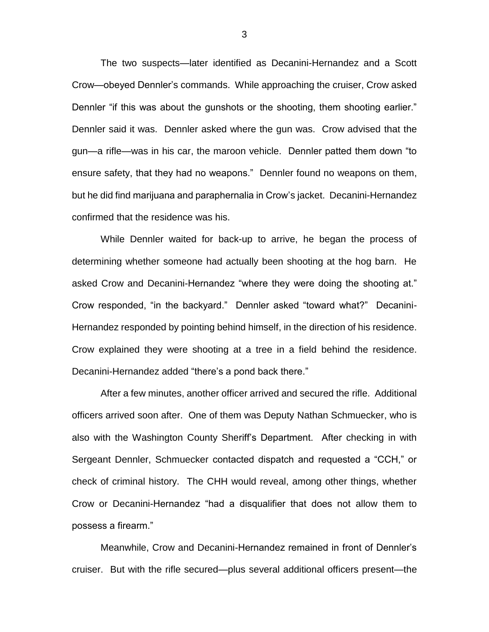The two suspects—later identified as Decanini-Hernandez and a Scott Crow—obeyed Dennler's commands. While approaching the cruiser, Crow asked Dennler "if this was about the gunshots or the shooting, them shooting earlier." Dennler said it was. Dennler asked where the gun was. Crow advised that the gun—a rifle—was in his car, the maroon vehicle. Dennler patted them down "to ensure safety, that they had no weapons." Dennler found no weapons on them, but he did find marijuana and paraphernalia in Crow's jacket. Decanini-Hernandez confirmed that the residence was his.

While Dennler waited for back-up to arrive, he began the process of determining whether someone had actually been shooting at the hog barn. He asked Crow and Decanini-Hernandez "where they were doing the shooting at." Crow responded, "in the backyard." Dennler asked "toward what?" Decanini-Hernandez responded by pointing behind himself, in the direction of his residence. Crow explained they were shooting at a tree in a field behind the residence. Decanini-Hernandez added "there's a pond back there."

After a few minutes, another officer arrived and secured the rifle. Additional officers arrived soon after. One of them was Deputy Nathan Schmuecker, who is also with the Washington County Sheriff's Department. After checking in with Sergeant Dennler, Schmuecker contacted dispatch and requested a "CCH," or check of criminal history. The CHH would reveal, among other things, whether Crow or Decanini-Hernandez "had a disqualifier that does not allow them to possess a firearm."

Meanwhile, Crow and Decanini-Hernandez remained in front of Dennler's cruiser. But with the rifle secured—plus several additional officers present—the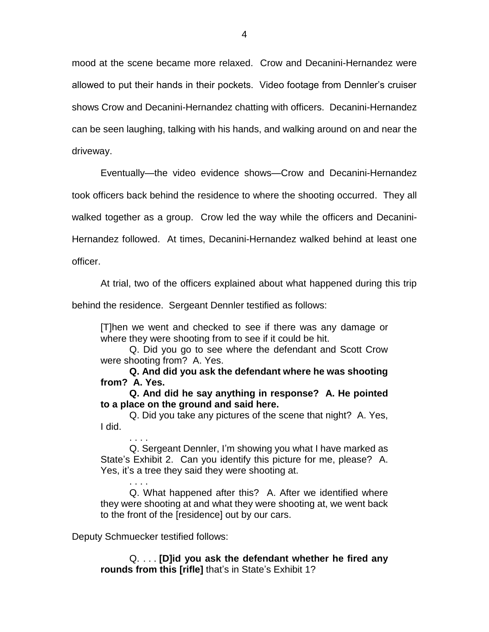mood at the scene became more relaxed. Crow and Decanini-Hernandez were allowed to put their hands in their pockets. Video footage from Dennler's cruiser shows Crow and Decanini-Hernandez chatting with officers. Decanini-Hernandez can be seen laughing, talking with his hands, and walking around on and near the driveway.

Eventually—the video evidence shows—Crow and Decanini-Hernandez

took officers back behind the residence to where the shooting occurred. They all

walked together as a group. Crow led the way while the officers and Decanini-

Hernandez followed. At times, Decanini-Hernandez walked behind at least one

officer.

At trial, two of the officers explained about what happened during this trip

behind the residence. Sergeant Dennler testified as follows:

[T]hen we went and checked to see if there was any damage or where they were shooting from to see if it could be hit.

Q. Did you go to see where the defendant and Scott Crow were shooting from? A. Yes.

**Q. And did you ask the defendant where he was shooting from? A. Yes.**

**Q. And did he say anything in response? A. He pointed to a place on the ground and said here.**

Q. Did you take any pictures of the scene that night? A. Yes, I did.

. . . . Q. Sergeant Dennler, I'm showing you what I have marked as State's Exhibit 2. Can you identify this picture for me, please? A. Yes, it's a tree they said they were shooting at.

. . . . Q. What happened after this? A. After we identified where they were shooting at and what they were shooting at, we went back to the front of the [residence] out by our cars.

Deputy Schmuecker testified follows:

Q. . . . **[D]id you ask the defendant whether he fired any rounds from this [rifle]** that's in State's Exhibit 1?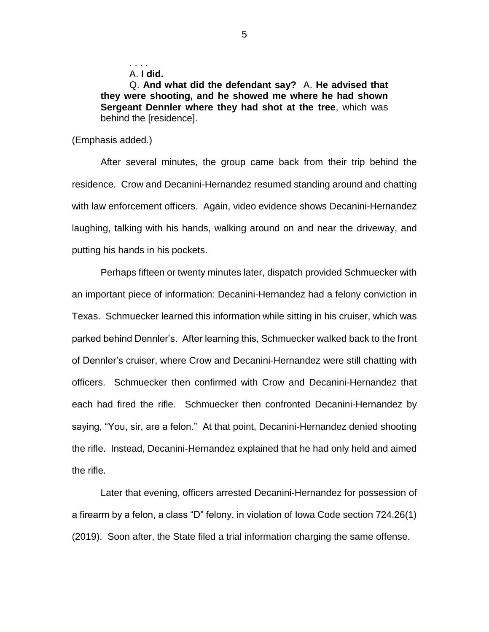A. **I did.**

. . . .

Q. **And what did the defendant say?** A. **He advised that they were shooting, and he showed me where he had shown Sergeant Dennler where they had shot at the tree**, which was behind the [residence].

(Emphasis added.)

After several minutes, the group came back from their trip behind the residence. Crow and Decanini-Hernandez resumed standing around and chatting with law enforcement officers. Again, video evidence shows Decanini-Hernandez laughing, talking with his hands, walking around on and near the driveway, and putting his hands in his pockets.

Perhaps fifteen or twenty minutes later, dispatch provided Schmuecker with an important piece of information: Decanini-Hernandez had a felony conviction in Texas. Schmuecker learned this information while sitting in his cruiser, which was parked behind Dennler's. After learning this, Schmuecker walked back to the front of Dennler's cruiser, where Crow and Decanini-Hernandez were still chatting with officers. Schmuecker then confirmed with Crow and Decanini-Hernandez that each had fired the rifle. Schmuecker then confronted Decanini-Hernandez by saying, "You, sir, are a felon." At that point, Decanini-Hernandez denied shooting the rifle. Instead, Decanini-Hernandez explained that he had only held and aimed the rifle.

Later that evening, officers arrested Decanini-Hernandez for possession of a firearm by a felon, a class "D" felony, in violation of Iowa Code section 724.26(1) (2019). Soon after, the State filed a trial information charging the same offense.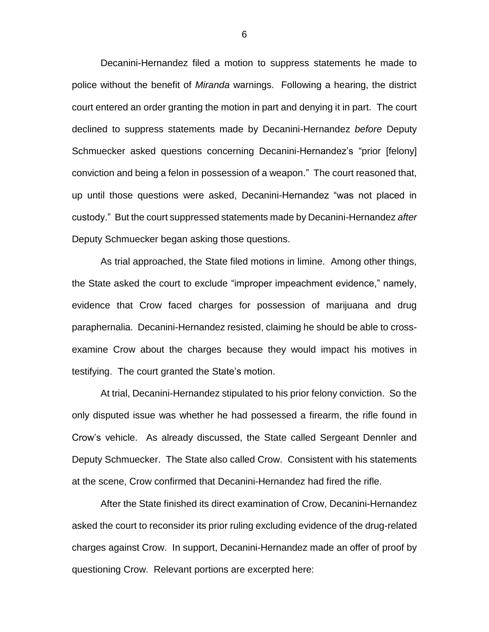Decanini-Hernandez filed a motion to suppress statements he made to police without the benefit of *Miranda* warnings. Following a hearing, the district court entered an order granting the motion in part and denying it in part. The court declined to suppress statements made by Decanini-Hernandez *before* Deputy Schmuecker asked questions concerning Decanini-Hernandez's "prior [felony] conviction and being a felon in possession of a weapon." The court reasoned that, up until those questions were asked, Decanini-Hernandez "was not placed in custody." But the court suppressed statements made by Decanini-Hernandez *after*  Deputy Schmuecker began asking those questions.

As trial approached, the State filed motions in limine. Among other things, the State asked the court to exclude "improper impeachment evidence," namely, evidence that Crow faced charges for possession of marijuana and drug paraphernalia. Decanini-Hernandez resisted, claiming he should be able to crossexamine Crow about the charges because they would impact his motives in testifying. The court granted the State's motion.

At trial, Decanini-Hernandez stipulated to his prior felony conviction. So the only disputed issue was whether he had possessed a firearm, the rifle found in Crow's vehicle. As already discussed, the State called Sergeant Dennler and Deputy Schmuecker. The State also called Crow. Consistent with his statements at the scene, Crow confirmed that Decanini-Hernandez had fired the rifle.

After the State finished its direct examination of Crow, Decanini-Hernandez asked the court to reconsider its prior ruling excluding evidence of the drug-related charges against Crow. In support, Decanini-Hernandez made an offer of proof by questioning Crow. Relevant portions are excerpted here: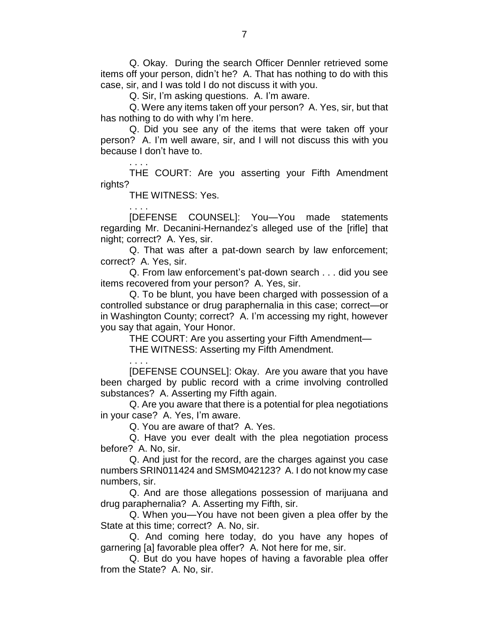Q. Okay. During the search Officer Dennler retrieved some items off your person, didn't he? A. That has nothing to do with this case, sir, and I was told I do not discuss it with you.

Q. Sir, I'm asking questions. A. I'm aware.

Q. Were any items taken off your person? A. Yes, sir, but that has nothing to do with why I'm here.

Q. Did you see any of the items that were taken off your person? A. I'm well aware, sir, and I will not discuss this with you because I don't have to.

. . . . THE COURT: Are you asserting your Fifth Amendment rights?

THE WITNESS: Yes.

. . . .

[DEFENSE COUNSEL]: You—You made statements regarding Mr. Decanini-Hernandez's alleged use of the [rifle] that night; correct? A. Yes, sir.

Q. That was after a pat-down search by law enforcement; correct? A. Yes, sir.

Q. From law enforcement's pat-down search . . . did you see items recovered from your person? A. Yes, sir.

Q. To be blunt, you have been charged with possession of a controlled substance or drug paraphernalia in this case; correct—or in Washington County; correct? A. I'm accessing my right, however you say that again, Your Honor.

THE COURT: Are you asserting your Fifth Amendment— THE WITNESS: Asserting my Fifth Amendment.

. . . . [DEFENSE COUNSEL]: Okay. Are you aware that you have been charged by public record with a crime involving controlled substances? A. Asserting my Fifth again.

Q. Are you aware that there is a potential for plea negotiations in your case? A. Yes, I'm aware.

Q. You are aware of that? A. Yes.

Q. Have you ever dealt with the plea negotiation process before? A. No, sir.

Q. And just for the record, are the charges against you case numbers SRIN011424 and SMSM042123? A. I do not know my case numbers, sir.

Q. And are those allegations possession of marijuana and drug paraphernalia? A. Asserting my Fifth, sir.

Q. When you—You have not been given a plea offer by the State at this time; correct? A. No, sir.

Q. And coming here today, do you have any hopes of garnering [a] favorable plea offer? A. Not here for me, sir.

Q. But do you have hopes of having a favorable plea offer from the State? A. No, sir.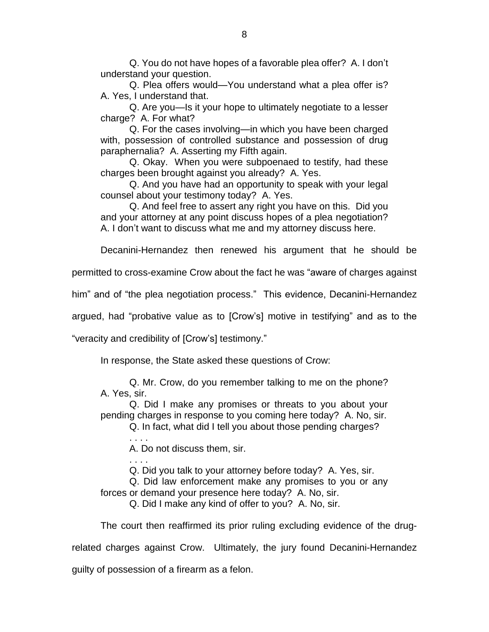Q. You do not have hopes of a favorable plea offer? A. I don't understand your question.

Q. Plea offers would—You understand what a plea offer is? A. Yes, I understand that.

Q. Are you—Is it your hope to ultimately negotiate to a lesser charge? A. For what?

Q. For the cases involving—in which you have been charged with, possession of controlled substance and possession of drug paraphernalia? A. Asserting my Fifth again.

Q. Okay. When you were subpoenaed to testify, had these charges been brought against you already? A. Yes.

Q. And you have had an opportunity to speak with your legal counsel about your testimony today? A. Yes.

Q. And feel free to assert any right you have on this. Did you and your attorney at any point discuss hopes of a plea negotiation? A. I don't want to discuss what me and my attorney discuss here.

Decanini-Hernandez then renewed his argument that he should be

permitted to cross-examine Crow about the fact he was "aware of charges against

him" and of "the plea negotiation process." This evidence, Decanini-Hernandez

argued, had "probative value as to [Crow's] motive in testifying" and as to the

"veracity and credibility of [Crow's] testimony."

In response, the State asked these questions of Crow:

Q. Mr. Crow, do you remember talking to me on the phone? A. Yes, sir.

Q. Did I make any promises or threats to you about your pending charges in response to you coming here today? A. No, sir.

Q. In fact, what did I tell you about those pending charges?

. . . . A. Do not discuss them, sir.

. . . .

Q. Did you talk to your attorney before today? A. Yes, sir.

Q. Did law enforcement make any promises to you or any forces or demand your presence here today? A. No, sir.

Q. Did I make any kind of offer to you? A. No, sir.

The court then reaffirmed its prior ruling excluding evidence of the drug-

related charges against Crow. Ultimately, the jury found Decanini-Hernandez

guilty of possession of a firearm as a felon.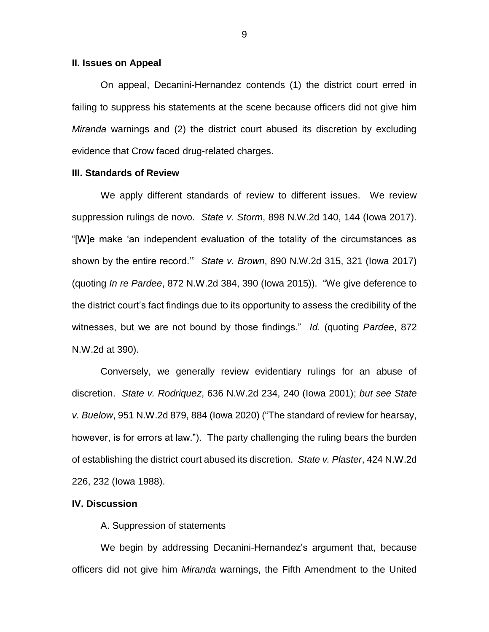#### **II. Issues on Appeal**

On appeal, Decanini-Hernandez contends (1) the district court erred in failing to suppress his statements at the scene because officers did not give him *Miranda* warnings and (2) the district court abused its discretion by excluding evidence that Crow faced drug-related charges.

#### **III. Standards of Review**

We apply different standards of review to different issues. We review suppression rulings de novo. *State v. Storm*, 898 N.W.2d 140, 144 (Iowa 2017). "[W]e make 'an independent evaluation of the totality of the circumstances as shown by the entire record.'" *State v. Brown*, 890 N.W.2d 315, 321 (Iowa 2017) (quoting *In re Pardee*, 872 N.W.2d 384, 390 (Iowa 2015)). "We give deference to the district court's fact findings due to its opportunity to assess the credibility of the witnesses, but we are not bound by those findings." *Id.* (quoting *Pardee*, 872 N.W.2d at 390).

Conversely, we generally review evidentiary rulings for an abuse of discretion. *State v. Rodriquez*, 636 N.W.2d 234, 240 (Iowa 2001); *but see State v. Buelow*, 951 N.W.2d 879, 884 (Iowa 2020) ("The standard of review for hearsay, however, is for errors at law."). The party challenging the ruling bears the burden of establishing the district court abused its discretion. *State v. Plaster*, 424 N.W.2d 226, 232 (Iowa 1988).

### **IV. Discussion**

A. Suppression of statements

We begin by addressing Decanini-Hernandez's argument that, because officers did not give him *Miranda* warnings, the Fifth Amendment to the United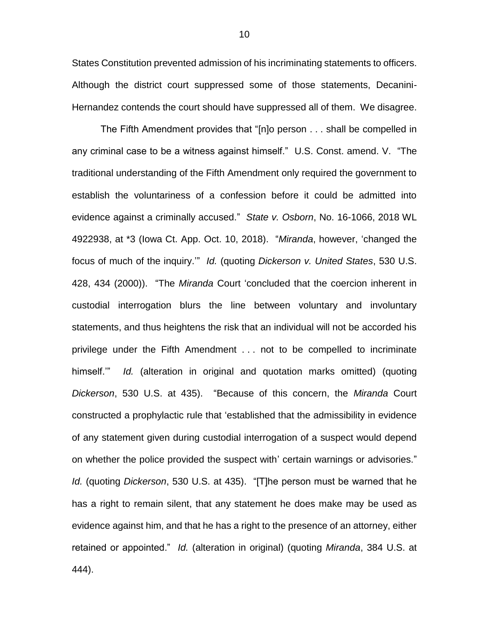States Constitution prevented admission of his incriminating statements to officers. Although the district court suppressed some of those statements, Decanini-Hernandez contends the court should have suppressed all of them. We disagree.

The Fifth Amendment provides that "[n]o person . . . shall be compelled in any criminal case to be a witness against himself." U.S. Const. amend. V. "The traditional understanding of the Fifth Amendment only required the government to establish the voluntariness of a confession before it could be admitted into evidence against a criminally accused." *State v. Osborn*, No. 16-1066, 2018 WL 4922938, at \*3 (Iowa Ct. App. Oct. 10, 2018). "*Miranda*, however, 'changed the focus of much of the inquiry.'" *Id.* (quoting *Dickerson v. United States*, 530 U.S. 428, 434 (2000)). "The *Miranda* Court 'concluded that the coercion inherent in custodial interrogation blurs the line between voluntary and involuntary statements, and thus heightens the risk that an individual will not be accorded his privilege under the Fifth Amendment . . . not to be compelled to incriminate himself.'" *Id.* (alteration in original and quotation marks omitted) (quoting *Dickerson*, 530 U.S. at 435). "Because of this concern, the *Miranda* Court constructed a prophylactic rule that 'established that the admissibility in evidence of any statement given during custodial interrogation of a suspect would depend on whether the police provided the suspect with' certain warnings or advisories." *Id.* (quoting *Dickerson*, 530 U.S. at 435). "[T]he person must be warned that he has a right to remain silent, that any statement he does make may be used as evidence against him, and that he has a right to the presence of an attorney, either retained or appointed." *Id.* (alteration in original) (quoting *Miranda*, 384 U.S. at 444).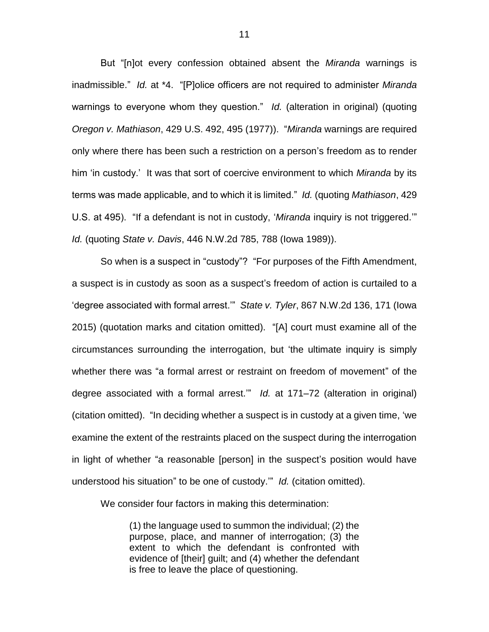But "[n]ot every confession obtained absent the *Miranda* warnings is inadmissible." *Id.* at \*4. "[P]olice officers are not required to administer *Miranda* warnings to everyone whom they question." *Id.* (alteration in original) (quoting *Oregon v. Mathiason*, 429 U.S. 492, 495 (1977)). "*Miranda* warnings are required only where there has been such a restriction on a person's freedom as to render him 'in custody.' It was that sort of coercive environment to which *Miranda* by its terms was made applicable, and to which it is limited." *Id.* (quoting *Mathiason*, 429 U.S. at 495). "If a defendant is not in custody, '*Miranda* inquiry is not triggered.'" *Id.* (quoting *State v. Davis*, 446 N.W.2d 785, 788 (Iowa 1989)).

So when is a suspect in "custody"? "For purposes of the Fifth Amendment, a suspect is in custody as soon as a suspect's freedom of action is curtailed to a 'degree associated with formal arrest.'" *State v. Tyler*, 867 N.W.2d 136, 171 (Iowa 2015) (quotation marks and citation omitted). "[A] court must examine all of the circumstances surrounding the interrogation, but 'the ultimate inquiry is simply whether there was "a formal arrest or restraint on freedom of movement" of the degree associated with a formal arrest.'" *Id.* at 171–72 (alteration in original) (citation omitted). "In deciding whether a suspect is in custody at a given time, 'we examine the extent of the restraints placed on the suspect during the interrogation in light of whether "a reasonable [person] in the suspect's position would have understood his situation" to be one of custody.'" *Id.* (citation omitted).

We consider four factors in making this determination:

(1) the language used to summon the individual; (2) the purpose, place, and manner of interrogation; (3) the extent to which the defendant is confronted with evidence of [their] guilt; and (4) whether the defendant is free to leave the place of questioning.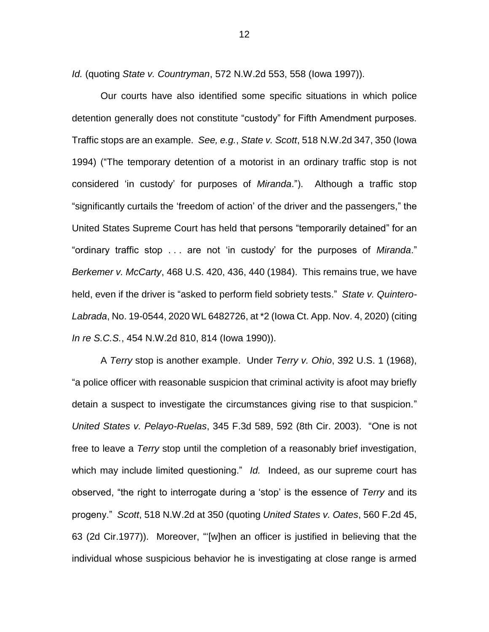*Id.* (quoting *State v. Countryman*, 572 N.W.2d 553, 558 (Iowa 1997)).

Our courts have also identified some specific situations in which police detention generally does not constitute "custody" for Fifth Amendment purposes. Traffic stops are an example. *See, e.g.*, *State v. Scott*, 518 N.W.2d 347, 350 (Iowa 1994) ("The temporary detention of a motorist in an ordinary traffic stop is not considered 'in custody' for purposes of *Miranda*."). Although a traffic stop "significantly curtails the 'freedom of action' of the driver and the passengers," the United States Supreme Court has held that persons "temporarily detained" for an "ordinary traffic stop . . . are not 'in custody' for the purposes of *Miranda*." *Berkemer v. McCarty*, 468 U.S. 420, 436, 440 (1984). This remains true, we have held, even if the driver is "asked to perform field sobriety tests." *State v. Quintero-Labrada*, No. 19-0544, 2020 WL 6482726, at \*2 (Iowa Ct. App. Nov. 4, 2020) (citing *In re S.C.S.*, 454 N.W.2d 810, 814 (Iowa 1990)).

A *Terry* stop is another example. Under *Terry v. Ohio*, 392 U.S. 1 (1968), "a police officer with reasonable suspicion that criminal activity is afoot may briefly detain a suspect to investigate the circumstances giving rise to that suspicion." *United States v. Pelayo-Ruelas*, 345 F.3d 589, 592 (8th Cir. 2003). "One is not free to leave a *Terry* stop until the completion of a reasonably brief investigation, which may include limited questioning." *Id.* Indeed, as our supreme court has observed, "the right to interrogate during a 'stop' is the essence of *Terry* and its progeny." *Scott*, 518 N.W.2d at 350 (quoting *United States v. Oates*, 560 F.2d 45, 63 (2d Cir.1977)). Moreover, "'[w]hen an officer is justified in believing that the individual whose suspicious behavior he is investigating at close range is armed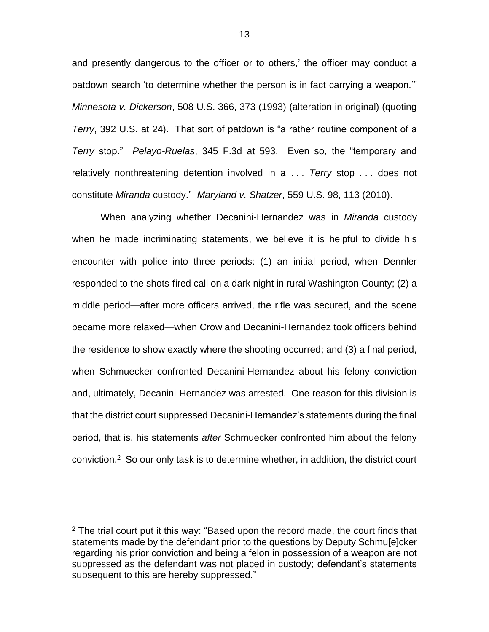and presently dangerous to the officer or to others,' the officer may conduct a patdown search 'to determine whether the person is in fact carrying a weapon.'" *Minnesota v. Dickerson*, 508 U.S. 366, 373 (1993) (alteration in original) (quoting *Terry*, 392 U.S. at 24). That sort of patdown is "a rather routine component of a *Terry* stop." *Pelayo-Ruelas*, 345 F.3d at 593. Even so, the "temporary and relatively nonthreatening detention involved in a . . . *Terry* stop . . . does not constitute *Miranda* custody." *Maryland v. Shatzer*, 559 U.S. 98, 113 (2010).

When analyzing whether Decanini-Hernandez was in *Miranda* custody when he made incriminating statements, we believe it is helpful to divide his encounter with police into three periods: (1) an initial period, when Dennler responded to the shots-fired call on a dark night in rural Washington County; (2) a middle period—after more officers arrived, the rifle was secured, and the scene became more relaxed—when Crow and Decanini-Hernandez took officers behind the residence to show exactly where the shooting occurred; and (3) a final period, when Schmuecker confronted Decanini-Hernandez about his felony conviction and, ultimately, Decanini-Hernandez was arrested. One reason for this division is that the district court suppressed Decanini-Hernandez's statements during the final period, that is, his statements *after* Schmuecker confronted him about the felony conviction. 2 So our only task is to determine whether, in addition, the district court

 $\overline{a}$ 

 $2$  The trial court put it this way: "Based upon the record made, the court finds that statements made by the defendant prior to the questions by Deputy Schmu[e]cker regarding his prior conviction and being a felon in possession of a weapon are not suppressed as the defendant was not placed in custody; defendant's statements subsequent to this are hereby suppressed."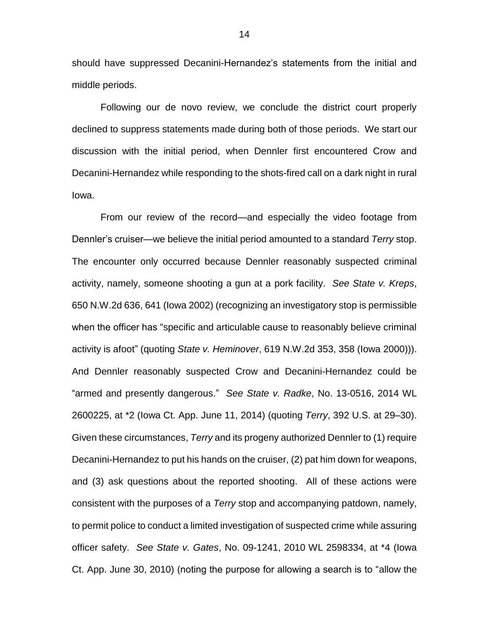should have suppressed Decanini-Hernandez's statements from the initial and middle periods.

Following our de novo review, we conclude the district court properly declined to suppress statements made during both of those periods. We start our discussion with the initial period, when Dennler first encountered Crow and Decanini-Hernandez while responding to the shots-fired call on a dark night in rural Iowa.

From our review of the record—and especially the video footage from Dennler's cruiser—we believe the initial period amounted to a standard *Terry* stop. The encounter only occurred because Dennler reasonably suspected criminal activity, namely, someone shooting a gun at a pork facility. *See State v. Kreps*, 650 N.W.2d 636, 641 (Iowa 2002) (recognizing an investigatory stop is permissible when the officer has "specific and articulable cause to reasonably believe criminal activity is afoot" (quoting *State v. Heminover*, 619 N.W.2d 353, 358 (Iowa 2000))). And Dennler reasonably suspected Crow and Decanini-Hernandez could be "armed and presently dangerous." *See State v. Radke*, No. 13-0516, 2014 WL 2600225, at \*2 (Iowa Ct. App. June 11, 2014) (quoting *Terry*, 392 U.S. at 29–30). Given these circumstances, *Terry* and its progeny authorized Dennler to (1) require Decanini-Hernandez to put his hands on the cruiser, (2) pat him down for weapons, and (3) ask questions about the reported shooting. All of these actions were consistent with the purposes of a *Terry* stop and accompanying patdown, namely, to permit police to conduct a limited investigation of suspected crime while assuring officer safety. *See State v. Gates*, No. 09-1241, 2010 WL 2598334, at \*4 (Iowa Ct. App. June 30, 2010) (noting the purpose for allowing a search is to "allow the

14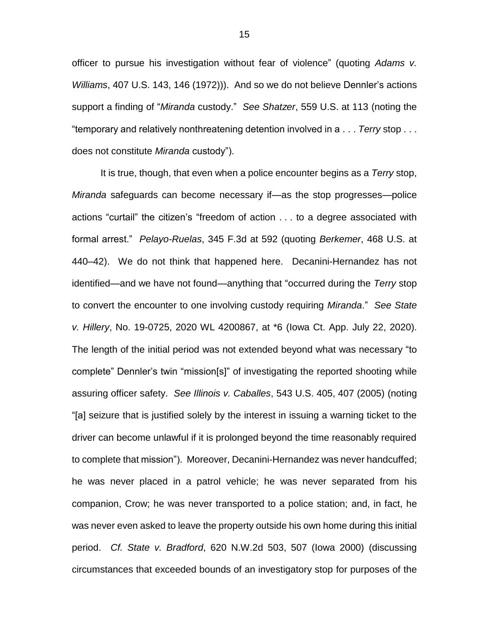officer to pursue his investigation without fear of violence" (quoting *Adams v. Williams*, 407 U.S. 143, 146 (1972))). And so we do not believe Dennler's actions support a finding of "*Miranda* custody." *See Shatzer*, 559 U.S. at 113 (noting the "temporary and relatively nonthreatening detention involved in a . . . *Terry* stop . . . does not constitute *Miranda* custody").

It is true, though, that even when a police encounter begins as a *Terry* stop, *Miranda* safeguards can become necessary if—as the stop progresses—police actions "curtail" the citizen's "freedom of action . . . to a degree associated with formal arrest." *Pelayo-Ruelas*, 345 F.3d at 592 (quoting *Berkemer*, 468 U.S. at 440–42). We do not think that happened here. Decanini-Hernandez has not identified—and we have not found—anything that "occurred during the *Terry* stop to convert the encounter to one involving custody requiring *Miranda*." *See State v. Hillery*, No. 19-0725, 2020 WL 4200867, at \*6 (Iowa Ct. App. July 22, 2020). The length of the initial period was not extended beyond what was necessary "to complete" Dennler's twin "mission[s]" of investigating the reported shooting while assuring officer safety. *See Illinois v. Caballes*, 543 U.S. 405, 407 (2005) (noting "[a] seizure that is justified solely by the interest in issuing a warning ticket to the driver can become unlawful if it is prolonged beyond the time reasonably required to complete that mission"). Moreover, Decanini-Hernandez was never handcuffed; he was never placed in a patrol vehicle; he was never separated from his companion, Crow; he was never transported to a police station; and, in fact, he was never even asked to leave the property outside his own home during this initial period. *Cf. State v. Bradford*, 620 N.W.2d 503, 507 (Iowa 2000) (discussing circumstances that exceeded bounds of an investigatory stop for purposes of the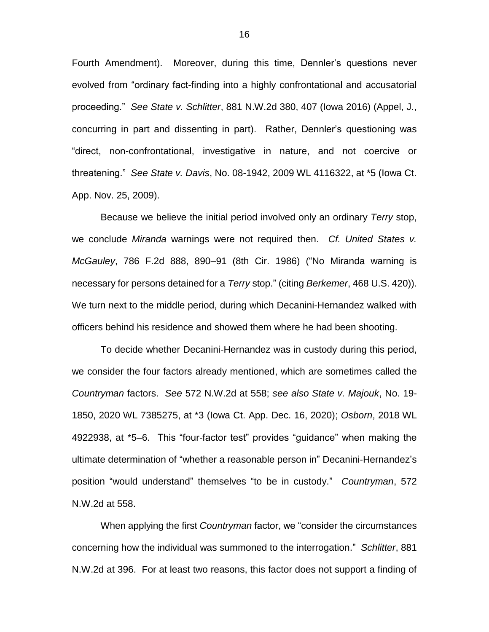Fourth Amendment). Moreover, during this time, Dennler's questions never evolved from "ordinary fact-finding into a highly confrontational and accusatorial proceeding." *See State v. Schlitter*, 881 N.W.2d 380, 407 (Iowa 2016) (Appel, J., concurring in part and dissenting in part). Rather, Dennler's questioning was "direct, non-confrontational, investigative in nature, and not coercive or threatening." *See State v. Davis*, No. 08-1942, 2009 WL 4116322, at \*5 (Iowa Ct. App. Nov. 25, 2009).

Because we believe the initial period involved only an ordinary *Terry* stop, we conclude *Miranda* warnings were not required then. *Cf. United States v. McGauley*, 786 F.2d 888, 890–91 (8th Cir. 1986) ("No Miranda warning is necessary for persons detained for a *Terry* stop." (citing *Berkemer*, 468 U.S. 420)). We turn next to the middle period, during which Decanini-Hernandez walked with officers behind his residence and showed them where he had been shooting.

To decide whether Decanini-Hernandez was in custody during this period, we consider the four factors already mentioned, which are sometimes called the *Countryman* factors. *See* 572 N.W.2d at 558; *see also State v. Majouk*, No. 19- 1850, 2020 WL 7385275, at \*3 (Iowa Ct. App. Dec. 16, 2020); *Osborn*, 2018 WL 4922938, at \*5–6. This "four-factor test" provides "guidance" when making the ultimate determination of "whether a reasonable person in" Decanini-Hernandez's position "would understand" themselves "to be in custody." *Countryman*, 572 N.W.2d at 558.

When applying the first *Countryman* factor, we "consider the circumstances concerning how the individual was summoned to the interrogation." *Schlitter*, 881 N.W.2d at 396. For at least two reasons, this factor does not support a finding of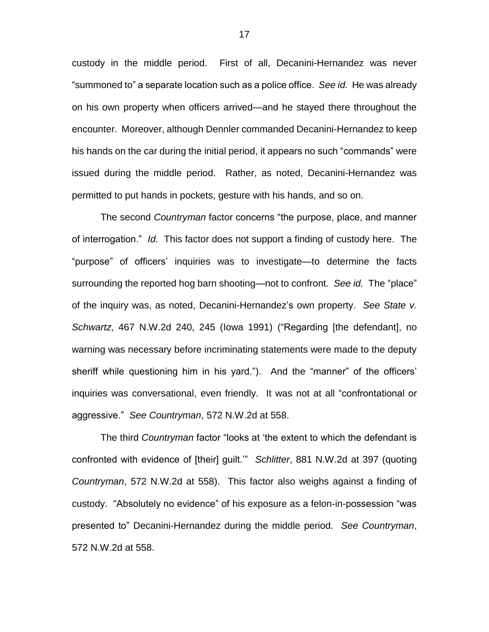custody in the middle period. First of all, Decanini-Hernandez was never "summoned to" a separate location such as a police office. *See id.* He was already on his own property when officers arrived—and he stayed there throughout the encounter. Moreover, although Dennler commanded Decanini-Hernandez to keep his hands on the car during the initial period, it appears no such "commands" were issued during the middle period. Rather, as noted, Decanini-Hernandez was permitted to put hands in pockets, gesture with his hands, and so on.

The second *Countryman* factor concerns "the purpose, place, and manner of interrogation." *Id.* This factor does not support a finding of custody here. The "purpose" of officers' inquiries was to investigate—to determine the facts surrounding the reported hog barn shooting—not to confront. *See id.* The "place" of the inquiry was, as noted, Decanini-Hernandez's own property. *See State v. Schwartz*, 467 N.W.2d 240, 245 (Iowa 1991) ("Regarding [the defendant], no warning was necessary before incriminating statements were made to the deputy sheriff while questioning him in his yard."). And the "manner" of the officers' inquiries was conversational, even friendly. It was not at all "confrontational or aggressive." *See Countryman*, 572 N.W.2d at 558.

The third *Countryman* factor "looks at 'the extent to which the defendant is confronted with evidence of [their] guilt.'" *Schlitter*, 881 N.W.2d at 397 (quoting *Countryman*, 572 N.W.2d at 558). This factor also weighs against a finding of custody. "Absolutely no evidence" of his exposure as a felon-in-possession "was presented to" Decanini-Hernandez during the middle period. *See Countryman*, 572 N.W.2d at 558.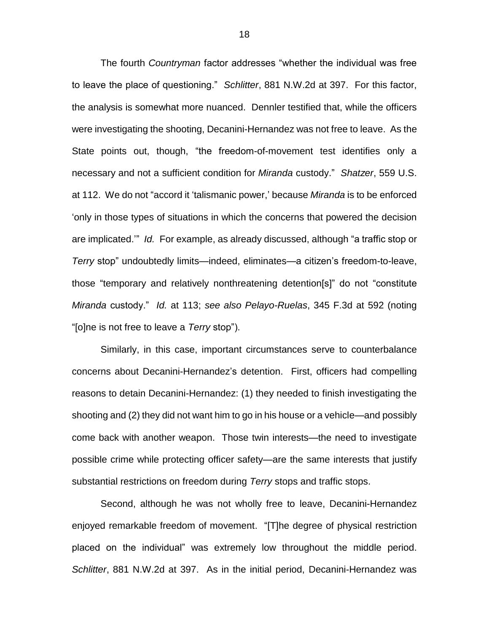The fourth *Countryman* factor addresses "whether the individual was free to leave the place of questioning." *Schlitter*, 881 N.W.2d at 397. For this factor, the analysis is somewhat more nuanced. Dennler testified that, while the officers were investigating the shooting, Decanini-Hernandez was not free to leave. As the State points out, though, "the freedom-of-movement test identifies only a necessary and not a sufficient condition for *Miranda* custody." *Shatzer*, 559 U.S. at 112. We do not "accord it 'talismanic power,' because *Miranda* is to be enforced 'only in those types of situations in which the concerns that powered the decision are implicated.'" *Id.* For example, as already discussed, although "a traffic stop or *Terry* stop" undoubtedly limits—indeed, eliminates—a citizen's freedom-to-leave, those "temporary and relatively nonthreatening detention[s]" do not "constitute *Miranda* custody." *Id.* at 113; *see also Pelayo-Ruelas*, 345 F.3d at 592 (noting "[o]ne is not free to leave a *Terry* stop").

Similarly, in this case, important circumstances serve to counterbalance concerns about Decanini-Hernandez's detention. First, officers had compelling reasons to detain Decanini-Hernandez: (1) they needed to finish investigating the shooting and (2) they did not want him to go in his house or a vehicle—and possibly come back with another weapon. Those twin interests—the need to investigate possible crime while protecting officer safety—are the same interests that justify substantial restrictions on freedom during *Terry* stops and traffic stops.

Second, although he was not wholly free to leave, Decanini-Hernandez enjoyed remarkable freedom of movement. "[T]he degree of physical restriction placed on the individual" was extremely low throughout the middle period. *Schlitter*, 881 N.W.2d at 397. As in the initial period, Decanini-Hernandez was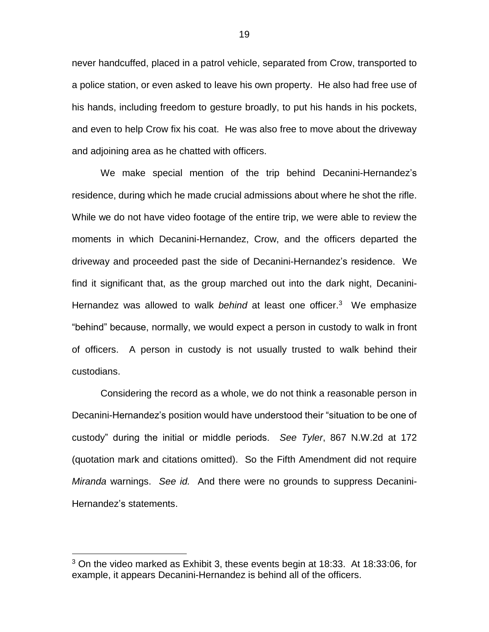never handcuffed, placed in a patrol vehicle, separated from Crow, transported to a police station, or even asked to leave his own property. He also had free use of his hands, including freedom to gesture broadly, to put his hands in his pockets, and even to help Crow fix his coat. He was also free to move about the driveway and adjoining area as he chatted with officers.

We make special mention of the trip behind Decanini-Hernandez's residence, during which he made crucial admissions about where he shot the rifle. While we do not have video footage of the entire trip, we were able to review the moments in which Decanini-Hernandez, Crow, and the officers departed the driveway and proceeded past the side of Decanini-Hernandez's residence. We find it significant that, as the group marched out into the dark night, Decanini-Hernandez was allowed to walk *behind* at least one officer. 3 We emphasize "behind" because, normally, we would expect a person in custody to walk in front of officers. A person in custody is not usually trusted to walk behind their custodians.

Considering the record as a whole, we do not think a reasonable person in Decanini-Hernandez's position would have understood their "situation to be one of custody" during the initial or middle periods. *See Tyler*, 867 N.W.2d at 172 (quotation mark and citations omitted). So the Fifth Amendment did not require *Miranda* warnings. *See id.* And there were no grounds to suppress Decanini-Hernandez's statements.

 $\overline{a}$ 

<sup>3</sup> On the video marked as Exhibit 3, these events begin at 18:33. At 18:33:06, for example, it appears Decanini-Hernandez is behind all of the officers.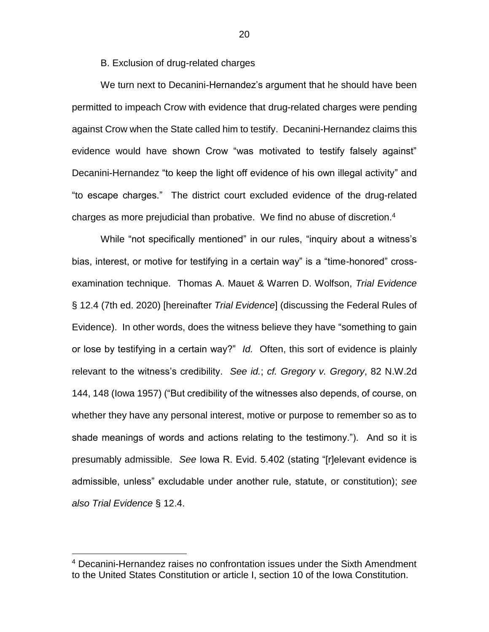B. Exclusion of drug-related charges

We turn next to Decanini-Hernandez's argument that he should have been permitted to impeach Crow with evidence that drug-related charges were pending against Crow when the State called him to testify. Decanini-Hernandez claims this evidence would have shown Crow "was motivated to testify falsely against" Decanini-Hernandez "to keep the light off evidence of his own illegal activity" and "to escape charges." The district court excluded evidence of the drug-related charges as more prejudicial than probative. We find no abuse of discretion.<sup>4</sup>

While "not specifically mentioned" in our rules, "inquiry about a witness's bias, interest, or motive for testifying in a certain way" is a "time-honored" crossexamination technique. Thomas A. Mauet & Warren D. Wolfson, *Trial Evidence* § 12.4 (7th ed. 2020) [hereinafter *Trial Evidence*] (discussing the Federal Rules of Evidence). In other words, does the witness believe they have "something to gain or lose by testifying in a certain way?" *Id.* Often, this sort of evidence is plainly relevant to the witness's credibility. *See id.*; *cf. Gregory v. Gregory*, 82 N.W.2d 144, 148 (Iowa 1957) ("But credibility of the witnesses also depends, of course, on whether they have any personal interest, motive or purpose to remember so as to shade meanings of words and actions relating to the testimony."). And so it is presumably admissible. *See* Iowa R. Evid. 5.402 (stating "[r]elevant evidence is admissible, unless" excludable under another rule, statute, or constitution); *see also Trial Evidence* § 12.4.

 $\overline{a}$ 

<sup>4</sup> Decanini-Hernandez raises no confrontation issues under the Sixth Amendment to the United States Constitution or article I, section 10 of the Iowa Constitution.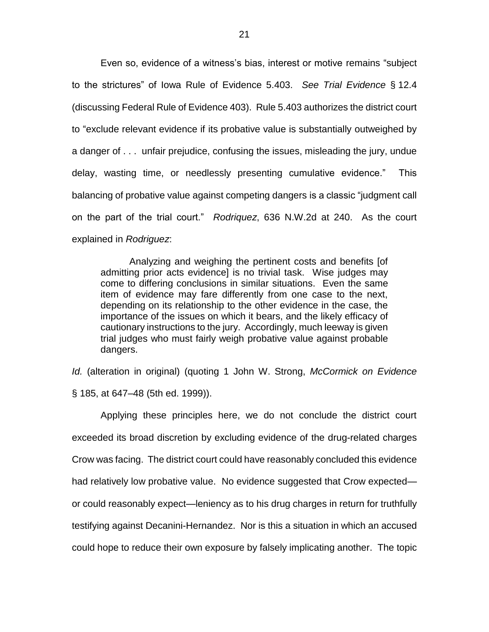Even so, evidence of a witness's bias, interest or motive remains "subject to the strictures" of Iowa Rule of Evidence 5.403. *See Trial Evidence* § 12.4 (discussing Federal Rule of Evidence 403). Rule 5.403 authorizes the district court to "exclude relevant evidence if its probative value is substantially outweighed by a danger of . . . unfair prejudice, confusing the issues, misleading the jury, undue delay, wasting time, or needlessly presenting cumulative evidence." This balancing of probative value against competing dangers is a classic "judgment call on the part of the trial court." *Rodriquez*, 636 N.W.2d at 240. As the court explained in *Rodriguez*:

Analyzing and weighing the pertinent costs and benefits [of admitting prior acts evidence] is no trivial task. Wise judges may come to differing conclusions in similar situations. Even the same item of evidence may fare differently from one case to the next, depending on its relationship to the other evidence in the case, the importance of the issues on which it bears, and the likely efficacy of cautionary instructions to the jury. Accordingly, much leeway is given trial judges who must fairly weigh probative value against probable dangers.

*Id.* (alteration in original) (quoting 1 John W. Strong, *McCormick on Evidence* § 185, at 647–48 (5th ed. 1999)).

Applying these principles here, we do not conclude the district court exceeded its broad discretion by excluding evidence of the drug-related charges Crow was facing. The district court could have reasonably concluded this evidence had relatively low probative value. No evidence suggested that Crow expected or could reasonably expect—leniency as to his drug charges in return for truthfully testifying against Decanini-Hernandez. Nor is this a situation in which an accused could hope to reduce their own exposure by falsely implicating another. The topic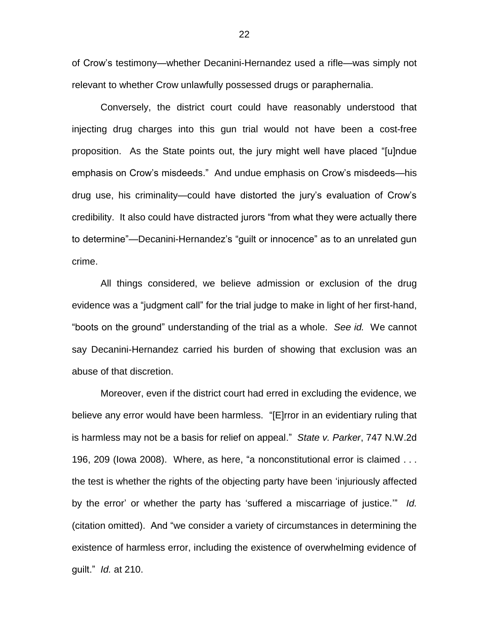of Crow's testimony—whether Decanini-Hernandez used a rifle—was simply not relevant to whether Crow unlawfully possessed drugs or paraphernalia.

Conversely, the district court could have reasonably understood that injecting drug charges into this gun trial would not have been a cost-free proposition. As the State points out, the jury might well have placed "[u]ndue emphasis on Crow's misdeeds." And undue emphasis on Crow's misdeeds—his drug use, his criminality—could have distorted the jury's evaluation of Crow's credibility. It also could have distracted jurors "from what they were actually there to determine"—Decanini-Hernandez's "guilt or innocence" as to an unrelated gun crime.

All things considered, we believe admission or exclusion of the drug evidence was a "judgment call" for the trial judge to make in light of her first-hand, "boots on the ground" understanding of the trial as a whole. *See id.* We cannot say Decanini-Hernandez carried his burden of showing that exclusion was an abuse of that discretion.

Moreover, even if the district court had erred in excluding the evidence, we believe any error would have been harmless. "[E]rror in an evidentiary ruling that is harmless may not be a basis for relief on appeal." *State v. Parker*, 747 N.W.2d 196, 209 (Iowa 2008). Where, as here, "a nonconstitutional error is claimed . . . the test is whether the rights of the objecting party have been 'injuriously affected by the error' or whether the party has 'suffered a miscarriage of justice.'" *Id.* (citation omitted). And "we consider a variety of circumstances in determining the existence of harmless error, including the existence of overwhelming evidence of guilt." *Id.* at 210.